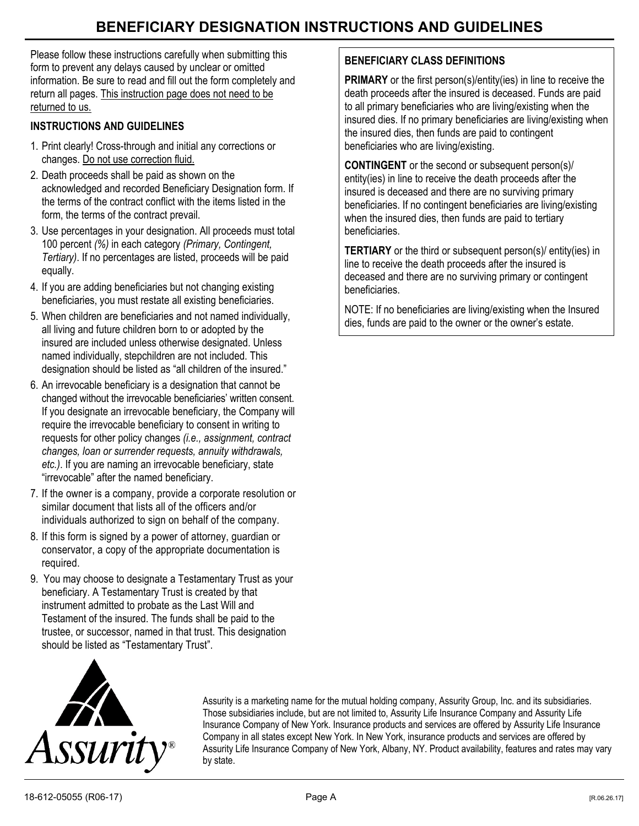# **BENEFICIARY DESIGNATION INSTRUCTIONS AND GUIDELINES**

Please follow these instructions carefully when submitting this form to prevent any delays caused by unclear or omitted information. Be sure to read and fill out the form completely and return all pages. This instruction page does not need to be returned to us.

# **INSTRUCTIONS AND GUIDELINES**

- 1. Print clearly! Cross-through and initial any corrections or changes. Do not use correction fluid.
- 2. Death proceeds shall be paid as shown on the acknowledged and recorded Beneficiary Designation form. If the terms of the contract conflict with the items listed in the form, the terms of the contract prevail.
- 3. Use percentages in your designation. All proceeds must total 100 percent *(%)* in each category *(Primary, Contingent, Tertiary)*. If no percentages are listed, proceeds will be paid equally.
- 4. If you are adding beneficiaries but not changing existing beneficiaries, you must restate all existing beneficiaries.
- 5. When children are beneficiaries and not named individually, all living and future children born to or adopted by the insured are included unless otherwise designated. Unless named individually, stepchildren are not included. This designation should be listed as "all children of the insured."
- 6. An irrevocable beneficiary is a designation that cannot be changed without the irrevocable beneficiaries' written consent. If you designate an irrevocable beneficiary, the Company will require the irrevocable beneficiary to consent in writing to requests for other policy changes *(i.e., assignment, contract changes, loan or surrender requests, annuity withdrawals, etc.)*. If you are naming an irrevocable beneficiary, state "irrevocable" after the named beneficiary.
- 7. If the owner is a company, provide a corporate resolution or similar document that lists all of the officers and/or individuals authorized to sign on behalf of the company.
- 8. If this form is signed by a power of attorney, guardian or conservator, a copy of the appropriate documentation is required.
- 9. You may choose to designate a Testamentary Trust as your beneficiary. A Testamentary Trust is created by that instrument admitted to probate as the Last Will and Testament of the insured. The funds shall be paid to the trustee, or successor, named in that trust. This designation should be listed as "Testamentary Trust".

# **BENEFICIARY CLASS DEFINITIONS**

**PRIMARY** or the first person(s)/entity(ies) in line to receive the death proceeds after the insured is deceased. Funds are paid to all primary beneficiaries who are living/existing when the insured dies. If no primary beneficiaries are living/existing when the insured dies, then funds are paid to contingent beneficiaries who are living/existing.

**CONTINGENT** or the second or subsequent person(s)/ entity(ies) in line to receive the death proceeds after the insured is deceased and there are no surviving primary beneficiaries. If no contingent beneficiaries are living/existing when the insured dies, then funds are paid to tertiary beneficiaries.

**TERTIARY** or the third or subsequent person(s)/ entity(ies) in line to receive the death proceeds after the insured is deceased and there are no surviving primary or contingent beneficiaries.

NOTE: If no beneficiaries are living/existing when the Insured dies, funds are paid to the owner or the owner's estate.



Assurity is a marketing name for the mutual holding company, Assurity Group, Inc. and its subsidiaries. Those subsidiaries include, but are not limited to, Assurity Life Insurance Company and Assurity Life Insurance Company of New York. Insurance products and services are offered by Assurity Life Insurance Company in all states except New York. In New York, insurance products and services are offered by Assurity Life Insurance Company of New York, Albany, NY. Product availability, features and rates may vary by state.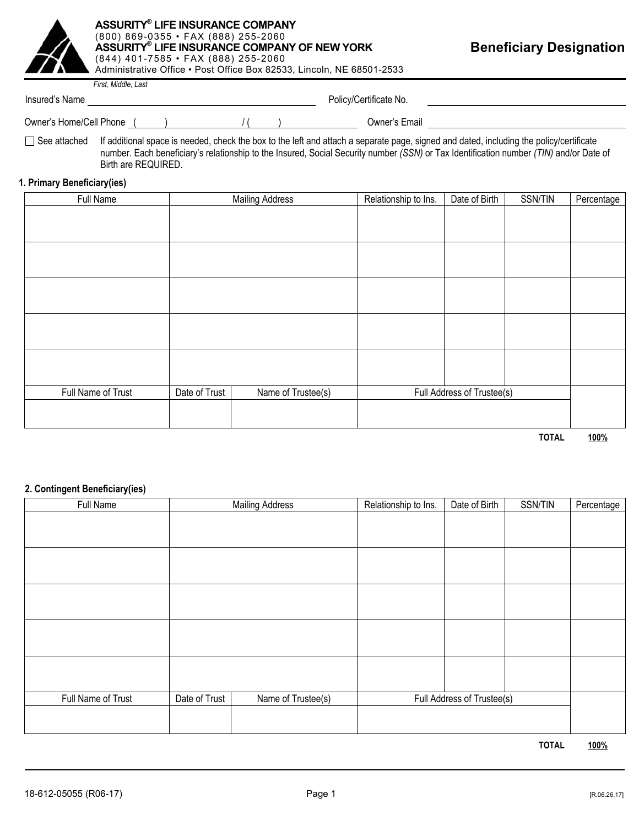

#### **ASSURITY® LIFE INSURANCE COMPANY** (800) 869-0355 • FAX (888) 255-2060 **ASSURITY® LIFE INSURANCE COMPANY OF NEW YORK**  (844) 401-7585 • FAX (888) 255-2060 Administrative Office • Post Office Box 82533, Lincoln, NE 68501-2533

**Beneficiary Designation** 

Insured's Name

*First, Middle, Last* 

Policy/Certificate No.

Owner's Home/Cell Phone ( )  $\sqrt{(x-1)^2}$  ( ) Owner's Email

□ See attached If additional space is needed, check the box to the left and attach a separate page, signed and dated, including the policy/certificate number. Each beneficiary's relationship to the Insured, Social Security number *(SSN)* or Tax Identification number *(TIN)* and/or Date of Birth are REQUIRED.

## **1. Primary Beneficiary(ies)**

| Full Name          |               | <b>Mailing Address</b> | Relationship to Ins. | Date of Birth              | SSN/TIN | Percentage |
|--------------------|---------------|------------------------|----------------------|----------------------------|---------|------------|
|                    |               |                        |                      |                            |         |            |
|                    |               |                        |                      |                            |         |            |
|                    |               |                        |                      |                            |         |            |
|                    |               |                        |                      |                            |         |            |
|                    |               |                        |                      |                            |         |            |
|                    |               |                        |                      |                            |         |            |
|                    |               |                        |                      |                            |         |            |
|                    |               |                        |                      |                            |         |            |
|                    |               |                        |                      |                            |         |            |
|                    |               |                        |                      |                            |         |            |
| Full Name of Trust | Date of Trust | Name of Trustee(s)     |                      | Full Address of Trustee(s) |         |            |
|                    |               |                        |                      |                            |         |            |
|                    |               |                        |                      |                            |         |            |

**TOTAL 100%**

## **2. Contingent Beneficiary(ies)**

| Full Name          |               | <b>Mailing Address</b> | Relationship to Ins. | Date of Birth              | SSN/TIN | Percentage |
|--------------------|---------------|------------------------|----------------------|----------------------------|---------|------------|
|                    |               |                        |                      |                            |         |            |
|                    |               |                        |                      |                            |         |            |
|                    |               |                        |                      |                            |         |            |
|                    |               |                        |                      |                            |         |            |
|                    |               |                        |                      |                            |         |            |
|                    |               |                        |                      |                            |         |            |
|                    |               |                        |                      |                            |         |            |
|                    |               |                        |                      |                            |         |            |
|                    |               |                        |                      |                            |         |            |
|                    |               |                        |                      |                            |         |            |
| Full Name of Trust | Date of Trust | Name of Trustee(s)     |                      | Full Address of Trustee(s) |         |            |
|                    |               |                        |                      |                            |         |            |
|                    |               |                        |                      |                            |         |            |

**TOTAL 100%**